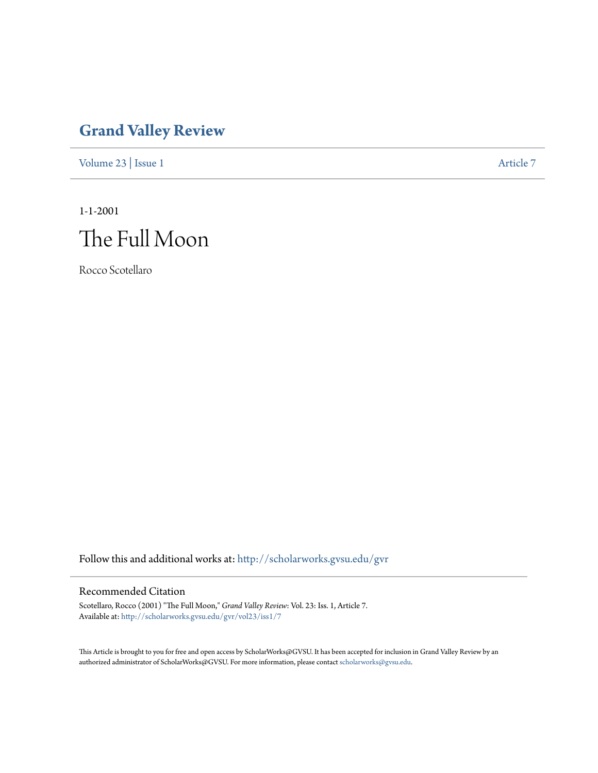## **[Grand Valley Review](http://scholarworks.gvsu.edu/gvr?utm_source=scholarworks.gvsu.edu%2Fgvr%2Fvol23%2Fiss1%2F7&utm_medium=PDF&utm_campaign=PDFCoverPages)**

[Volume 23](http://scholarworks.gvsu.edu/gvr/vol23?utm_source=scholarworks.gvsu.edu%2Fgvr%2Fvol23%2Fiss1%2F7&utm_medium=PDF&utm_campaign=PDFCoverPages) | [Issue 1](http://scholarworks.gvsu.edu/gvr/vol23/iss1?utm_source=scholarworks.gvsu.edu%2Fgvr%2Fvol23%2Fiss1%2F7&utm_medium=PDF&utm_campaign=PDFCoverPages) [Article 7](http://scholarworks.gvsu.edu/gvr/vol23/iss1/7?utm_source=scholarworks.gvsu.edu%2Fgvr%2Fvol23%2Fiss1%2F7&utm_medium=PDF&utm_campaign=PDFCoverPages)

1-1-2001

# The Full Moon

Rocco Scotellaro

Follow this and additional works at: [http://scholarworks.gvsu.edu/gvr](http://scholarworks.gvsu.edu/gvr?utm_source=scholarworks.gvsu.edu%2Fgvr%2Fvol23%2Fiss1%2F7&utm_medium=PDF&utm_campaign=PDFCoverPages)

#### Recommended Citation

Scotellaro, Rocco (2001) "The Full Moon," *Grand Valley Review*: Vol. 23: Iss. 1, Article 7. Available at: [http://scholarworks.gvsu.edu/gvr/vol23/iss1/7](http://scholarworks.gvsu.edu/gvr/vol23/iss1/7?utm_source=scholarworks.gvsu.edu%2Fgvr%2Fvol23%2Fiss1%2F7&utm_medium=PDF&utm_campaign=PDFCoverPages)

This Article is brought to you for free and open access by ScholarWorks@GVSU. It has been accepted for inclusion in Grand Valley Review by an authorized administrator of ScholarWorks@GVSU. For more information, please contact [scholarworks@gvsu.edu.](mailto:scholarworks@gvsu.edu)